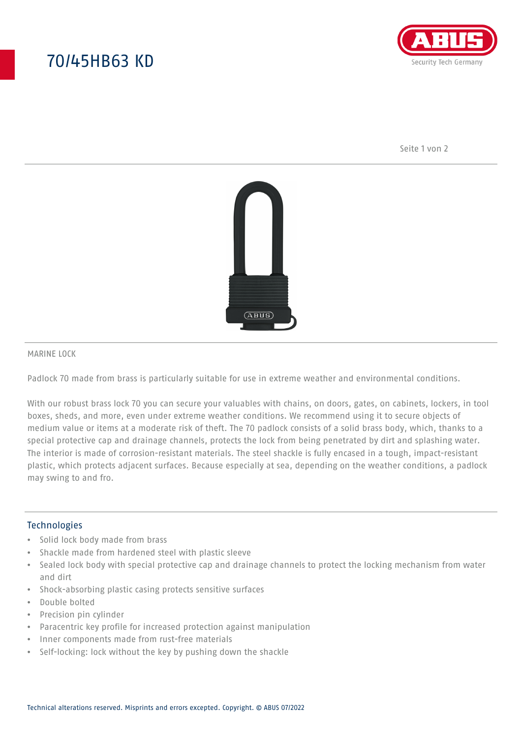# 70/45HB63 KD



Seite 1 von 2



### MARINE LOCK

Padlock 70 made from brass is particularly suitable for use in extreme weather and environmental conditions.

With our robust brass lock 70 you can secure your valuables with chains, on doors, gates, on cabinets, lockers, in tool boxes, sheds, and more, even under extreme weather conditions. We recommend using it to secure objects of medium value or items at a moderate risk of theft. The 70 padlock consists of a solid brass body, which, thanks to a special protective cap and drainage channels, protects the lock from being penetrated by dirt and splashing water. The interior is made of corrosion-resistant materials. The steel shackle is fully encased in a tough, impact-resistant plastic, which protects adjacent surfaces. Because especially at sea, depending on the weather conditions, a padlock may swing to and fro.

### **Technologies**

- Solid lock body made from brass
- Shackle made from hardened steel with plastic sleeve
- Sealed lock body with special protective cap and drainage channels to protect the locking mechanism from water and dirt
- Shock-absorbing plastic casing protects sensitive surfaces
- Double bolted
- Precision pin cylinder
- Paracentric key profile for increased protection against manipulation
- Inner components made from rust-free materials
- Self-locking: lock without the key by pushing down the shackle